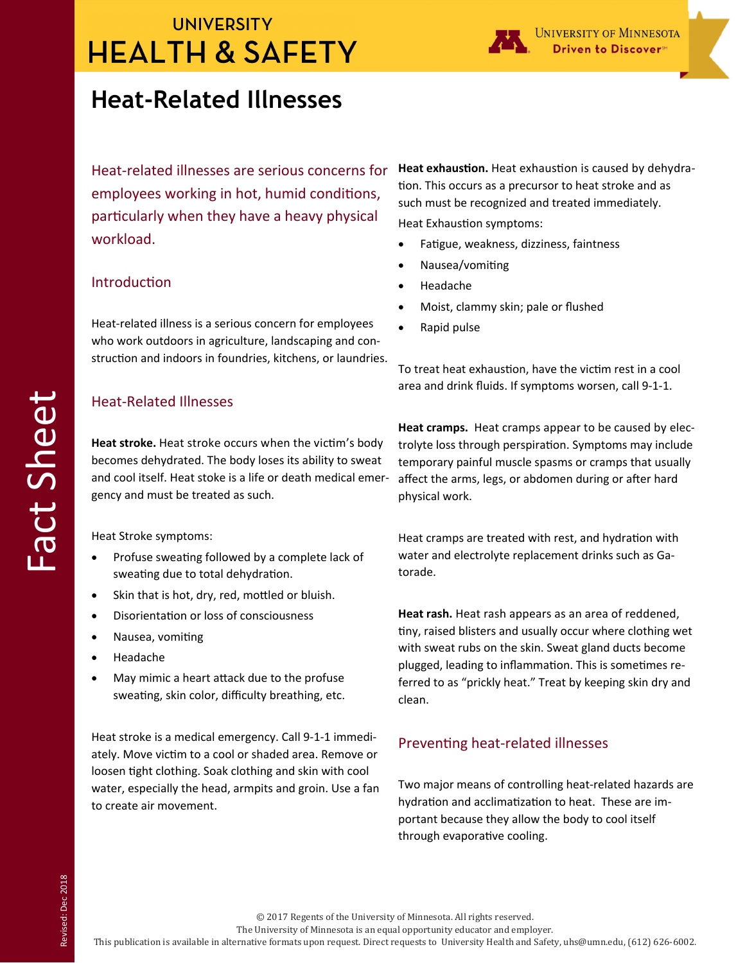# **UNIVERSITY HEALTH & SAFETY**

### **Heat-Related Illnesses**

Heat‐related illnesses are serious concerns for employees working in hot, humid conditions, particularly when they have a heavy physical workload.

#### **Introduction**

Heat‐related illness is a serious concern for employees who work outdoors in agriculture, landscaping and construction and indoors in foundries, kitchens, or laundries.

### Heat‐Related Illnesses

**Heat stroke.** Heat stroke occurs when the victim's body becomes dehydrated. The body loses its ability to sweat and cool itself. Heat stoke is a life or death medical emer‐ gency and must be treated as such.

Heat Stroke symptoms:

- Profuse sweating followed by a complete lack of sweating due to total dehydration.
- Skin that is hot, dry, red, mottled or bluish.
- DisorientaƟon or loss of consciousness
- Nausea, vomiting
- Headache
- May mimic a heart attack due to the profuse sweating, skin color, difficulty breathing, etc.

Heat stroke is a medical emergency. Call 9‐1‐1 immedi‐ ately. Move victim to a cool or shaded area. Remove or loosen tight clothing. Soak clothing and skin with cool water, especially the head, armpits and groin. Use a fan to create air movement.

Heat exhaustion. Heat exhaustion is caused by dehydration. This occurs as a precursor to heat stroke and as such must be recognized and treated immediately.

Heat Exhaustion symptoms:

- Fatigue, weakness, dizziness, faintness
- Nausea/vomiting
- Headache
- Moist, clammy skin; pale or flushed
- Rapid pulse

To treat heat exhaustion, have the victim rest in a cool area and drink fluids. If symptoms worsen, call 9‐1‐1.

**Heat cramps.** Heat cramps appear to be caused by elec‐ trolyte loss through perspiration. Symptoms may include temporary painful muscle spasms or cramps that usually affect the arms, legs, or abdomen during or after hard physical work.

Heat cramps are treated with rest, and hydration with water and electrolyte replacement drinks such as Ga‐ torade.

**Heat rash.** Heat rash appears as an area of reddened, tiny, raised blisters and usually occur where clothing wet with sweat rubs on the skin. Sweat gland ducts become plugged, leading to inflammation. This is sometimes referred to as "prickly heat." Treat by keeping skin dry and clean.

#### Preventing heat-related illnesses

Two major means of controlling heat-related hazards are hydration and acclimatization to heat. These are important because they allow the body to cool itself through evaporative cooling.

© 2017 Regents of the University of Minnesota. All rights reserved. 

The University of Minnesota is an equal opportunity educator and employer.

This publication is available in alternative formats upon request. Direct requests to University Health and Safety, uhs@umn.edu, (612) 626-6002.